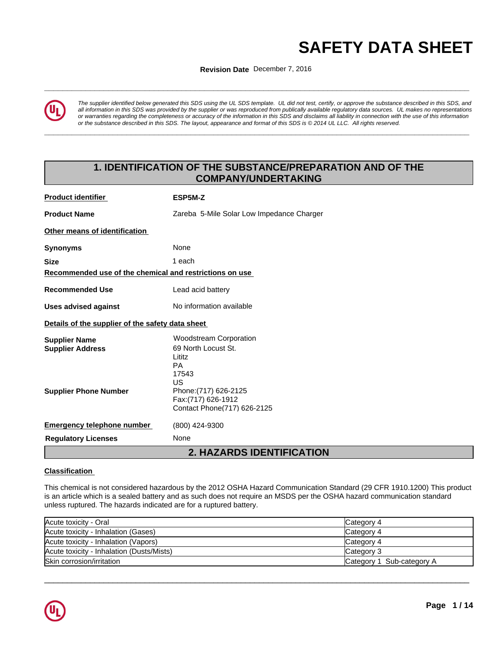# **AFETY DATA SHEET**<br>Revision Date December 7, 2016<br>And the December 7, 2016

**ISSUING THE ISSUING DATE:** 15-FEB-2016 **Revision Date** December 7, 2016



*The supplier identified below generated this SDS using the UL SDS template. UL did not test, certify, or approve the substance described in this SDS, and all information in this SDS was provided by the supplier or was reproduced from publically available regulatory data sources. UL makes no representations or warranties regarding the completeness or accuracy of the information in this SDS and disclaims all liability in connection with the use of this information* or the substance described in this SDS. The layout, appearance and format of this SDS is @2014 UL LLC. All rights reserved.

**\_\_\_\_\_\_\_\_\_\_\_\_\_\_\_\_\_\_\_\_\_\_\_\_\_\_\_\_\_\_\_\_\_\_\_\_\_\_\_\_\_\_\_\_\_\_\_\_\_\_\_\_\_\_\_\_\_\_\_\_\_\_\_\_\_\_\_\_\_\_\_\_\_\_\_\_\_\_\_\_\_\_\_\_\_\_\_\_\_\_\_\_\_**

# **1. IDENTIFICATION OF THE SUBSTANCE/PREPARATION AND OF THE COMPANY/UNDERTAKING**

| <b>Product identifier</b>                               | ESP5M-Z                                                                                    |
|---------------------------------------------------------|--------------------------------------------------------------------------------------------|
| <b>Product Name</b>                                     | Zareba 5-Mile Solar Low Impedance Charger                                                  |
| Other means of identification                           |                                                                                            |
| <b>Synonyms</b>                                         | None                                                                                       |
| <b>Size</b>                                             | 1 each                                                                                     |
| Recommended use of the chemical and restrictions on use |                                                                                            |
| <b>Recommended Use</b>                                  | Lead acid battery                                                                          |
| <b>Uses advised against</b>                             | No information available                                                                   |
| Details of the supplier of the safety data sheet        |                                                                                            |
| <b>Supplier Name</b><br><b>Supplier Address</b>         | <b>Woodstream Corporation</b><br>69 North Locust St.<br>Lititz<br><b>PA</b><br>17543<br>US |
| <b>Supplier Phone Number</b>                            | Phone: (717) 626-2125<br>Fax: (717) 626-1912<br>Contact Phone(717) 626-2125                |
| <b>Emergency telephone number</b>                       | (800) 424-9300                                                                             |
| <b>Regulatory Licenses</b>                              | None                                                                                       |
|                                                         | <b>2. HAZARDS IDENTIFICATION</b>                                                           |

# **Classification**

This chemical is not considered hazardous by the 2012 OSHA Hazard Communication Standard (29 CFR 1910.1200) This product is an article which is a sealed battery and as such does not require an MSDS per the OSHA hazard communication standard unless ruptured. The hazards indicated are for a ruptured battery.

| Acute toxicity - Oral                     | Category 4                |
|-------------------------------------------|---------------------------|
| Acute toxicity - Inhalation (Gases)       | Category 4                |
| Acute toxicity - Inhalation (Vapors)      | Category 4                |
| Acute toxicity - Inhalation (Dusts/Mists) | Category 3                |
| Skin corrosion/irritation                 | Category 1 Sub-category A |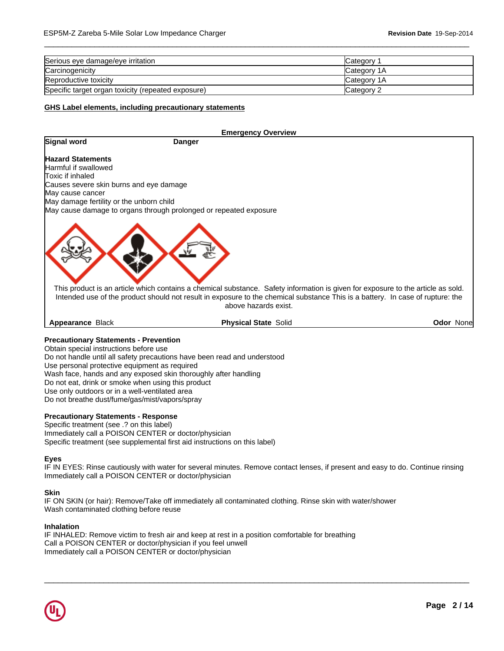| Serious eye damage/eye irritation                  | lCategorv           |
|----------------------------------------------------|---------------------|
| Carcinogenicity                                    | <b>ICategory 1A</b> |
| Reproductive toxicity                              | <b>ICategory 1A</b> |
| Specific target organ toxicity (repeated exposure) | Category 2          |

 $\overline{\phantom{a}}$  ,  $\overline{\phantom{a}}$  ,  $\overline{\phantom{a}}$  ,  $\overline{\phantom{a}}$  ,  $\overline{\phantom{a}}$  ,  $\overline{\phantom{a}}$  ,  $\overline{\phantom{a}}$  ,  $\overline{\phantom{a}}$  ,  $\overline{\phantom{a}}$  ,  $\overline{\phantom{a}}$  ,  $\overline{\phantom{a}}$  ,  $\overline{\phantom{a}}$  ,  $\overline{\phantom{a}}$  ,  $\overline{\phantom{a}}$  ,  $\overline{\phantom{a}}$  ,  $\overline{\phantom{a}}$ 

# **GHS Label elements, including precautionary statements**

|                                          | <b>Emergency Overview</b>                                                                                                                                                                                                                                                                  |                   |
|------------------------------------------|--------------------------------------------------------------------------------------------------------------------------------------------------------------------------------------------------------------------------------------------------------------------------------------------|-------------------|
| Signal word                              | Danger                                                                                                                                                                                                                                                                                     |                   |
| <b>Hazard Statements</b>                 |                                                                                                                                                                                                                                                                                            |                   |
| Harmful if swallowed                     |                                                                                                                                                                                                                                                                                            |                   |
| Toxic if inhaled                         |                                                                                                                                                                                                                                                                                            |                   |
| Causes severe skin burns and eye damage  |                                                                                                                                                                                                                                                                                            |                   |
| May cause cancer                         |                                                                                                                                                                                                                                                                                            |                   |
| May damage fertility or the unborn child |                                                                                                                                                                                                                                                                                            |                   |
|                                          | May cause damage to organs through prolonged or repeated exposure                                                                                                                                                                                                                          |                   |
|                                          | This product is an article which contains a chemical substance. Safety information is given for exposure to the article as sold.<br>Intended use of the product should not result in exposure to the chemical substance This is a battery. In case of rupture: the<br>above hazards exist. |                   |
| <b>Appearance Black</b>                  | <b>Physical State Solid</b>                                                                                                                                                                                                                                                                | <b>Odor Nonel</b> |

# **Precautionary Statements - Prevention**

Obtain special instructions before use Do not handle until all safety precautions have been read and understood Use personal protective equipment as required Wash face, hands and any exposed skin thoroughly after handling Do not eat, drink or smoke when using this product Use only outdoors or in a well-ventilated area Do not breathe dust/fume/gas/mist/vapors/spray

#### **Precautionary Statements - Response**

Specific treatment (see .? on this label) Immediately call a POISON CENTER or doctor/physician Specific treatment (see supplemental first aid instructions on this label)

#### **Eyes**

IF IN EYES: Rinse cautiously with water for several minutes. Remove contact lenses, if present and easy to do. Continue rinsing Immediately call a POISON CENTER or doctor/physician

 $\overline{\phantom{a}}$  ,  $\overline{\phantom{a}}$  ,  $\overline{\phantom{a}}$  ,  $\overline{\phantom{a}}$  ,  $\overline{\phantom{a}}$  ,  $\overline{\phantom{a}}$  ,  $\overline{\phantom{a}}$  ,  $\overline{\phantom{a}}$  ,  $\overline{\phantom{a}}$  ,  $\overline{\phantom{a}}$  ,  $\overline{\phantom{a}}$  ,  $\overline{\phantom{a}}$  ,  $\overline{\phantom{a}}$  ,  $\overline{\phantom{a}}$  ,  $\overline{\phantom{a}}$  ,  $\overline{\phantom{a}}$ 

#### **Skin**

IF ON SKIN (or hair): Remove/Take off immediately all contaminated clothing. Rinse skin with water/shower Wash contaminated clothing before reuse

#### **Inhalation**

IF INHALED: Remove victim to fresh air and keep at rest in a position comfortable for breathing Call a POISON CENTER or doctor/physician if you feel unwell Immediately call a POISON CENTER or doctor/physician

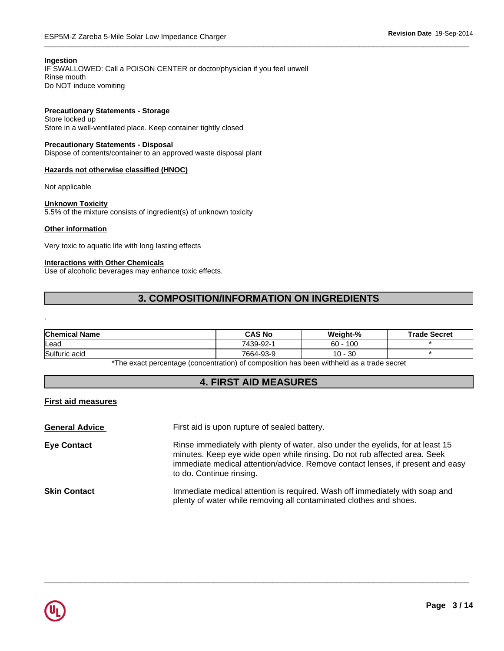# **Ingestion**

IF SWALLOWED: Call a POISON CENTER or doctor/physician if you feel unwell Rinse mouth Do NOT induce vomiting

# **Precautionary Statements - Storage**

Store locked up Store in a well-ventilated place. Keep container tightly closed

# **Precautionary Statements - Disposal**

Dispose of contents/container to an approved waste disposal plant

# **Hazards not otherwise classified (HNOC)**

Not applicable

# **Unknown Toxicity**

5.5% of the mixture consists of ingredient(s) of unknown toxicity

# **Other information**

.

Very toxic to aquatic life with long lasting effects

# **Interactions with Other Chemicals**

Use of alcoholic beverages may enhance toxic effects.

# **3. COMPOSITION/INFORMATION ON INGREDIENTS**

| <b>Chemical Name</b> | <b>CAS No</b> | Weight-%      | <b>Trade Secret</b> |
|----------------------|---------------|---------------|---------------------|
| lLead                | 7439-92-1     | 100<br>60     |                     |
| Sulfuric acid        | 7664-93-9     | $10 -$<br>-30 |                     |

\*The exact percentage (concentration) of composition has been withheld as a trade secret

# **4. FIRST AID MEASURES**

# **First aid measures**

| <b>General Advice</b> | First aid is upon rupture of sealed battery.                                                                                                                                                                                                                               |
|-----------------------|----------------------------------------------------------------------------------------------------------------------------------------------------------------------------------------------------------------------------------------------------------------------------|
| <b>Eye Contact</b>    | Rinse immediately with plenty of water, also under the eyelids, for at least 15<br>minutes. Keep eye wide open while rinsing. Do not rub affected area. Seek<br>immediate medical attention/advice. Remove contact lenses, if present and easy<br>to do. Continue rinsing. |
| <b>Skin Contact</b>   | Immediate medical attention is required. Wash off immediately with soap and<br>plenty of water while removing all contaminated clothes and shoes.                                                                                                                          |

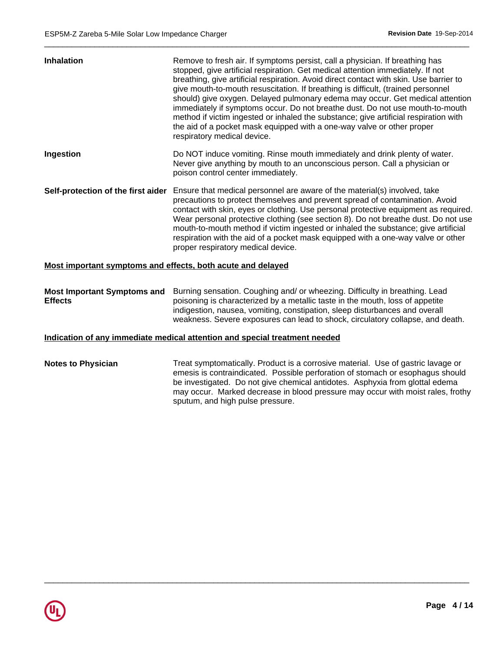| <b>Inhalation</b>                                           | Remove to fresh air. If symptoms persist, call a physician. If breathing has<br>stopped, give artificial respiration. Get medical attention immediately. If not<br>breathing, give artificial respiration. Avoid direct contact with skin. Use barrier to<br>give mouth-to-mouth resuscitation. If breathing is difficult, (trained personnel<br>should) give oxygen. Delayed pulmonary edema may occur. Get medical attention<br>immediately if symptoms occur. Do not breathe dust. Do not use mouth-to-mouth<br>method if victim ingested or inhaled the substance; give artificial respiration with<br>the aid of a pocket mask equipped with a one-way valve or other proper<br>respiratory medical device. |
|-------------------------------------------------------------|------------------------------------------------------------------------------------------------------------------------------------------------------------------------------------------------------------------------------------------------------------------------------------------------------------------------------------------------------------------------------------------------------------------------------------------------------------------------------------------------------------------------------------------------------------------------------------------------------------------------------------------------------------------------------------------------------------------|
| Ingestion                                                   | Do NOT induce vomiting. Rinse mouth immediately and drink plenty of water.<br>Never give anything by mouth to an unconscious person. Call a physician or<br>poison control center immediately.                                                                                                                                                                                                                                                                                                                                                                                                                                                                                                                   |
| Self-protection of the first aider                          | Ensure that medical personnel are aware of the material(s) involved, take<br>precautions to protect themselves and prevent spread of contamination. Avoid<br>contact with skin, eyes or clothing. Use personal protective equipment as required.<br>Wear personal protective clothing (see section 8). Do not breathe dust. Do not use<br>mouth-to-mouth method if victim ingested or inhaled the substance; give artificial<br>respiration with the aid of a pocket mask equipped with a one-way valve or other<br>proper respiratory medical device.                                                                                                                                                           |
| Most important symptoms and effects, both acute and delayed |                                                                                                                                                                                                                                                                                                                                                                                                                                                                                                                                                                                                                                                                                                                  |
|                                                             | Most Important Symptoms and Burning sensation. Coughing and/ or wheezing. Difficulty in breathing. Lead                                                                                                                                                                                                                                                                                                                                                                                                                                                                                                                                                                                                          |

 $\overline{\phantom{a}}$  ,  $\overline{\phantom{a}}$  ,  $\overline{\phantom{a}}$  ,  $\overline{\phantom{a}}$  ,  $\overline{\phantom{a}}$  ,  $\overline{\phantom{a}}$  ,  $\overline{\phantom{a}}$  ,  $\overline{\phantom{a}}$  ,  $\overline{\phantom{a}}$  ,  $\overline{\phantom{a}}$  ,  $\overline{\phantom{a}}$  ,  $\overline{\phantom{a}}$  ,  $\overline{\phantom{a}}$  ,  $\overline{\phantom{a}}$  ,  $\overline{\phantom{a}}$  ,  $\overline{\phantom{a}}$ 

**Effects** poisoning is characterized by a metallic taste in the mouth, loss of appetite indigestion, nausea, vomiting, constipation, sleep disturbances and overall weakness. Severe exposures can lead to shock, circulatory collapse, and death.

# **Indication of any immediate medical attention and special treatment needed**

**Notes to Physician** Treat symptomatically. Product is a corrosive material. Use of gastric lavage or emesis is contraindicated. Possible perforation of stomach or esophagus should be investigated. Do not give chemical antidotes. Asphyxia from glottal edema may occur. Marked decrease in blood pressure may occur with moist rales, frothy sputum, and high pulse pressure.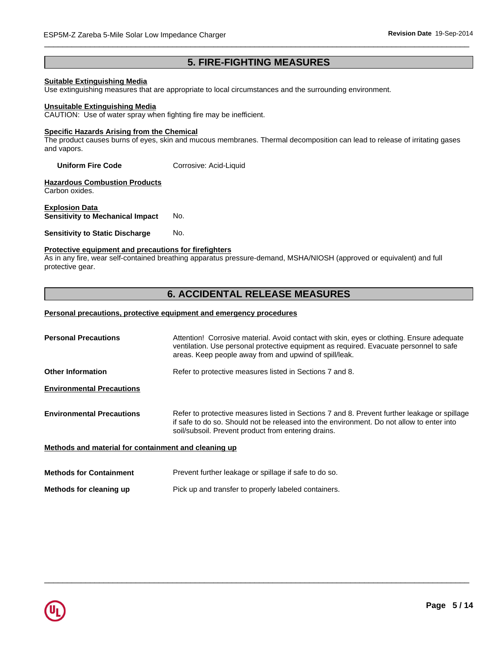# **5. FIRE-FIGHTING MEASURES**

# **Suitable Extinguishing Media**

Use extinguishing measures that are appropriate to local circumstances and the surrounding environment.

#### **Unsuitable Extinguishing Media**

CAUTION: Use of water spray when fighting fire may be inefficient.

#### **Specific Hazards Arising from the Chemical**

The product causes burns of eyes, skin and mucous membranes. Thermal decomposition can lead to release of irritating gases and vapors.

**Uniform Fire Code** Corrosive: Acid-Liquid

**Hazardous Combustion Products** Carbon oxides.

**Explosion Data Sensitivity to Mechanical Impact** No.

#### **Sensitivity to Static Discharge No.**

# **Protective equipment and precautions for firefighters**

As in any fire, wear self-contained breathing apparatus pressure-demand, MSHA/NIOSH (approved or equivalent) and full protective gear.

# **6. ACCIDENTAL RELEASE MEASURES**

#### **Personal precautions, protective equipment and emergency procedures**

| <b>Personal Precautions</b>                          | Attention! Corrosive material. Avoid contact with skin, eyes or clothing. Ensure adequate<br>ventilation. Use personal protective equipment as required. Evacuate personnel to safe<br>areas. Keep people away from and upwind of spill/leak.    |
|------------------------------------------------------|--------------------------------------------------------------------------------------------------------------------------------------------------------------------------------------------------------------------------------------------------|
| <b>Other Information</b>                             | Refer to protective measures listed in Sections 7 and 8.                                                                                                                                                                                         |
| <b>Environmental Precautions</b>                     |                                                                                                                                                                                                                                                  |
| <b>Environmental Precautions</b>                     | Refer to protective measures listed in Sections 7 and 8. Prevent further leakage or spillage<br>if safe to do so. Should not be released into the environment. Do not allow to enter into<br>soil/subsoil. Prevent product from entering drains. |
| Methods and material for containment and cleaning up |                                                                                                                                                                                                                                                  |
| <b>Methods for Containment</b>                       | Prevent further leakage or spillage if safe to do so.                                                                                                                                                                                            |

 $\overline{\phantom{a}}$  ,  $\overline{\phantom{a}}$  ,  $\overline{\phantom{a}}$  ,  $\overline{\phantom{a}}$  ,  $\overline{\phantom{a}}$  ,  $\overline{\phantom{a}}$  ,  $\overline{\phantom{a}}$  ,  $\overline{\phantom{a}}$  ,  $\overline{\phantom{a}}$  ,  $\overline{\phantom{a}}$  ,  $\overline{\phantom{a}}$  ,  $\overline{\phantom{a}}$  ,  $\overline{\phantom{a}}$  ,  $\overline{\phantom{a}}$  ,  $\overline{\phantom{a}}$  ,  $\overline{\phantom{a}}$ 

**Methods for cleaning up** Pick up and transfer to properly labeled containers.

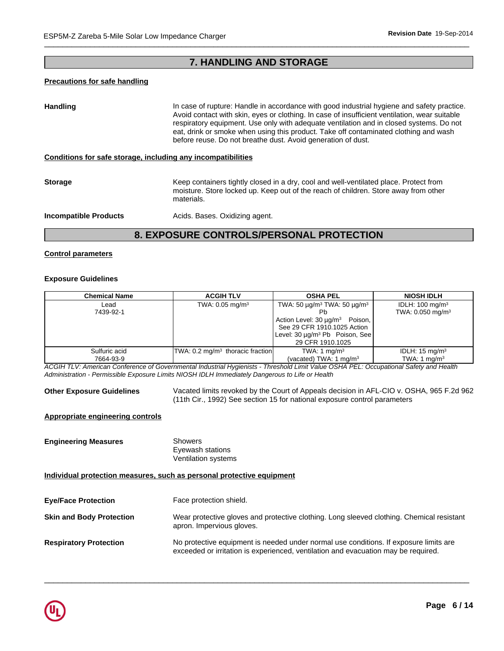# **7. HANDLING AND STORAGE**

# **Precautions for safe handling**

Handling **In case of rupture: Handle in accordance with good industrial hygiene and safety practice.** Avoid contact with skin, eyes or clothing. In case of insufficient ventilation, wear suitable respiratory equipment. Use only with adequate ventilation and in closed systems. Do not eat, drink or smoke when using this product. Take off contaminated clothing and wash before reuse. Do not breathe dust. Avoid generation of dust.

#### **Conditions for safe storage, including any incompatibilities**

**Storage Storage Keep containers tightly closed in a dry, cool and well-ventilated place. Protect from** moisture. Store locked up. Keep out of the reach of children. Store away from other materials.

**Incompatible Products Acids. Bases. Oxidizing agent.** 

# **8. EXPOSURE CONTROLS/PERSONAL PROTECTION**

# **Control parameters**

# **Exposure Guidelines**

| <b>Chemical Name</b> | <b>ACGIH TLV</b>                                                                               | <b>OSHA PEL</b>                               | <b>NIOSH IDLH</b>            |
|----------------------|------------------------------------------------------------------------------------------------|-----------------------------------------------|------------------------------|
| Lead                 | TWA: $0.05$ mg/m <sup>3</sup><br>TWA: 50 $\mu$ g/m <sup>3</sup> TWA: 50 $\mu$ g/m <sup>3</sup> |                                               | IDLH: $100 \text{ mg/m}^3$   |
| 7439-92-1            |                                                                                                |                                               | TWA: 0.050 mg/m <sup>3</sup> |
|                      |                                                                                                | Action Level: 30 μg/m <sup>3</sup><br>Poison, |                              |
|                      |                                                                                                | See 29 CFR 1910.1025 Action                   |                              |
|                      |                                                                                                | Level: 30 µg/m <sup>3</sup> Pb Poison, See    |                              |
|                      |                                                                                                | 29 CFR 1910.1025                              |                              |
| Sulfuric acid        | $ TWA: 0.2 mg/m3$ thoracic fraction                                                            | TWA: 1 mg/m <sup>3</sup>                      | IDLH: $15 \text{ mg/m}^3$    |
| 7664-93-9            |                                                                                                | (vacated) TWA: $1 \text{ mg/m}^3$             | TWA: 1 $mq/m3$               |
|                      |                                                                                                |                                               |                              |

*ACGIH TLV: American Conference of Governmental Industrial Hygienists - Threshold Limit Value OSHA PEL: Occupational Safety and Health Administration - Permissible Exposure Limits NIOSH IDLH Immediately Dangerous to Life or Health*

**Other Exposure Guidelines** Vacated limits revoked by the Court of Appeals decision in AFL-CIO v. OSHA, 965 F.2d 962 (11th Cir., 1992) See section 15 for national exposure control parameters

# **Appropriate engineering controls**

**Engineering Measures** Showers Eyewash stations Ventilation systems

**Individual protection measures, such as personal protective equipment**

| <b>Eye/Face Protection</b>      | Face protection shield.                                                                                                                                                     |
|---------------------------------|-----------------------------------------------------------------------------------------------------------------------------------------------------------------------------|
| <b>Skin and Body Protection</b> | Wear protective gloves and protective clothing. Long sleeved clothing. Chemical resistant<br>apron. Impervious gloves.                                                      |
| <b>Respiratory Protection</b>   | No protective equipment is needed under normal use conditions. If exposure limits are<br>exceeded or irritation is experienced, ventilation and evacuation may be required. |

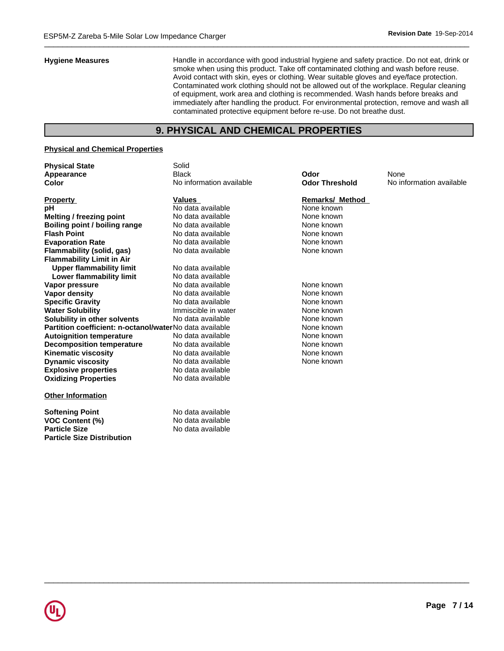**Hygiene Measures** Handle in accordance with good industrial hygiene and safety practice. Do not eat, drink or smoke when using this product. Take off contaminated clothing and wash before reuse. Avoid contact with skin, eyes or clothing. Wear suitable gloves and eye/face protection. Contaminated work clothing should not be allowed out of the workplace. Regular cleaning of equipment, work area and clothing is recommended. Wash hands before breaks and immediately after handling the product. For environmental protection, remove and wash all contaminated protective equipment before re-use. Do not breathe dust.

# **9. PHYSICAL AND CHEMICAL PROPERTIES**

# **Physical and Chemical Properties**

**Particle Size Distribution**

| <b>Physical State</b>                                   | Solid                    |                        |                          |
|---------------------------------------------------------|--------------------------|------------------------|--------------------------|
| Appearance                                              | <b>Black</b>             | Odor                   | None                     |
| Color                                                   | No information available | <b>Odor Threshold</b>  | No information available |
| <b>Property</b>                                         | Values                   | <b>Remarks/ Method</b> |                          |
| рH                                                      | No data available        | None known             |                          |
| Melting / freezing point                                | No data available        | None known             |                          |
| Boiling point / boiling range                           | No data available        | None known             |                          |
| <b>Flash Point</b>                                      | No data available        | None known             |                          |
| <b>Evaporation Rate</b>                                 | No data available        | None known             |                          |
| Flammability (solid, gas)                               | No data available        | None known             |                          |
| <b>Flammability Limit in Air</b>                        |                          |                        |                          |
| <b>Upper flammability limit</b>                         | No data available        |                        |                          |
| Lower flammability limit                                | No data available        |                        |                          |
| Vapor pressure                                          | No data available        | None known             |                          |
| <b>Vapor density</b>                                    | No data available        | None known             |                          |
| <b>Specific Gravity</b>                                 | No data available        | None known             |                          |
| <b>Water Solubility</b>                                 | Immiscible in water      | None known             |                          |
| Solubility in other solvents                            | No data available        | None known             |                          |
| Partition coefficient: n-octanol/waterNo data available |                          | None known             |                          |
| <b>Autoignition temperature</b>                         | No data available        | None known             |                          |
| <b>Decomposition temperature</b>                        | No data available        | None known             |                          |
| <b>Kinematic viscosity</b>                              | No data available        | None known             |                          |
| <b>Dynamic viscosity</b>                                | No data available        | None known             |                          |
| <b>Explosive properties</b>                             | No data available        |                        |                          |
| <b>Oxidizing Properties</b>                             | No data available        |                        |                          |
| <b>Other Information</b>                                |                          |                        |                          |
| <b>Softening Point</b>                                  | No data available        |                        |                          |
| <b>VOC Content (%)</b>                                  | No data available        |                        |                          |
| <b>Particle Size</b>                                    | No data available        |                        |                          |

#### **Remarks/ Method**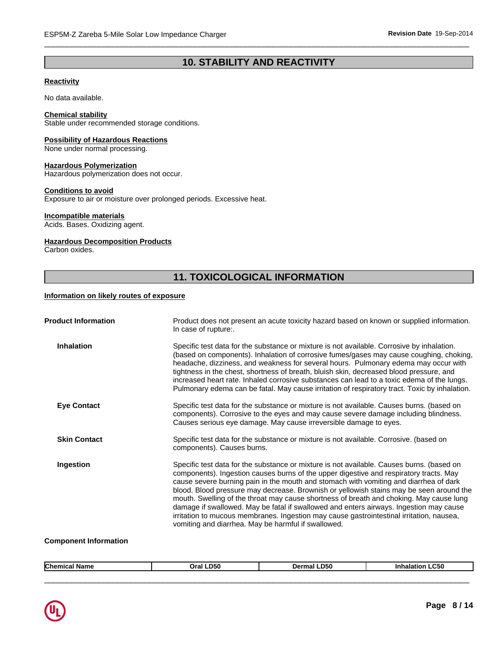# **10. STABILITY AND REACTIVITY**

 $\overline{\phantom{a}}$  ,  $\overline{\phantom{a}}$  ,  $\overline{\phantom{a}}$  ,  $\overline{\phantom{a}}$  ,  $\overline{\phantom{a}}$  ,  $\overline{\phantom{a}}$  ,  $\overline{\phantom{a}}$  ,  $\overline{\phantom{a}}$  ,  $\overline{\phantom{a}}$  ,  $\overline{\phantom{a}}$  ,  $\overline{\phantom{a}}$  ,  $\overline{\phantom{a}}$  ,  $\overline{\phantom{a}}$  ,  $\overline{\phantom{a}}$  ,  $\overline{\phantom{a}}$  ,  $\overline{\phantom{a}}$ 

# **Reactivity**

No data available.

# **Chemical stability**

Stable under recommended storage conditions.

# **Possibility of Hazardous Reactions**

None under normal processing.

# **Hazardous Polymerization**

Hazardous polymerization does not occur.

# **Conditions to avoid**

Exposure to air or moisture over prolonged periods. Excessive heat.

# **Incompatible materials**

Acids. Bases. Oxidizing agent.

# **Hazardous Decomposition Products**

Carbon oxides.

# **11. TOXICOLOGICAL INFORMATION**

# **Information on likely routes of exposure**

| Product does not present an acute toxicity hazard based on known or supplied information.<br>In case of rupture:.                                                                                                                                                                                                                                                                                                                                                                                                                                                                                                                                                                                               |
|-----------------------------------------------------------------------------------------------------------------------------------------------------------------------------------------------------------------------------------------------------------------------------------------------------------------------------------------------------------------------------------------------------------------------------------------------------------------------------------------------------------------------------------------------------------------------------------------------------------------------------------------------------------------------------------------------------------------|
| Specific test data for the substance or mixture is not available. Corrosive by inhalation.<br>(based on components). Inhalation of corrosive fumes/gases may cause coughing, choking,<br>headache, dizziness, and weakness for several hours. Pulmonary edema may occur with<br>tightness in the chest, shortness of breath, bluish skin, decreased blood pressure, and<br>increased heart rate. Inhaled corrosive substances can lead to a toxic edema of the lungs.<br>Pulmonary edema can be fatal. May cause irritation of respiratory tract. Toxic by inhalation.                                                                                                                                          |
| Specific test data for the substance or mixture is not available. Causes burns. (based on<br>components). Corrosive to the eyes and may cause severe damage including blindness.<br>Causes serious eye damage. May cause irreversible damage to eyes.                                                                                                                                                                                                                                                                                                                                                                                                                                                           |
| Specific test data for the substance or mixture is not available. Corrosive. (based on<br>components). Causes burns.                                                                                                                                                                                                                                                                                                                                                                                                                                                                                                                                                                                            |
| Specific test data for the substance or mixture is not available. Causes burns. (based on<br>components). Ingestion causes burns of the upper digestive and respiratory tracts. May<br>cause severe burning pain in the mouth and stomach with vomiting and diarrhea of dark<br>blood. Blood pressure may decrease. Brownish or yellowish stains may be seen around the<br>mouth. Swelling of the throat may cause shortness of breath and choking. May cause lung<br>damage if swallowed. May be fatal if swallowed and enters airways. Ingestion may cause<br>irritation to mucous membranes. Ingestion may cause gastrointestinal irritation, nausea,<br>vomiting and diarrhea. May be harmful if swallowed. |
|                                                                                                                                                                                                                                                                                                                                                                                                                                                                                                                                                                                                                                                                                                                 |

#### **Component Information**

|--|

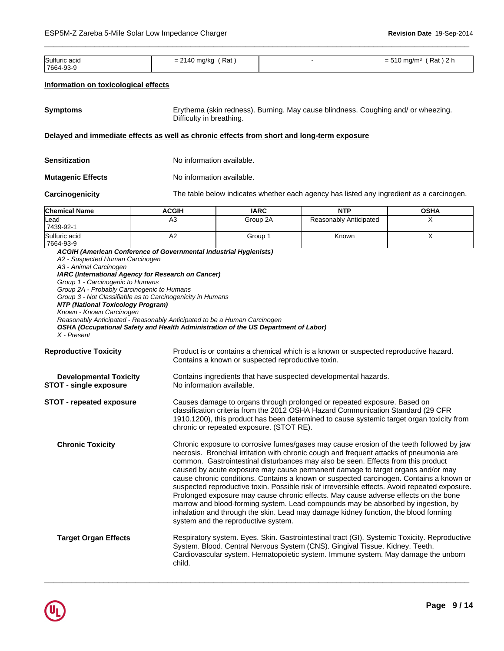| Sulfuric acid | Rat<br>$= 2140$ ma/ka<br>. | $Rat$ ) 2 $\vdash$<br>$= 510 \; \text{ma/m}^3$<br>⊦ z n |
|---------------|----------------------------|---------------------------------------------------------|
| 7664-93-9     |                            |                                                         |

 $\overline{\phantom{a}}$  ,  $\overline{\phantom{a}}$  ,  $\overline{\phantom{a}}$  ,  $\overline{\phantom{a}}$  ,  $\overline{\phantom{a}}$  ,  $\overline{\phantom{a}}$  ,  $\overline{\phantom{a}}$  ,  $\overline{\phantom{a}}$  ,  $\overline{\phantom{a}}$  ,  $\overline{\phantom{a}}$  ,  $\overline{\phantom{a}}$  ,  $\overline{\phantom{a}}$  ,  $\overline{\phantom{a}}$  ,  $\overline{\phantom{a}}$  ,  $\overline{\phantom{a}}$  ,  $\overline{\phantom{a}}$ 

#### **Information on toxicological effects**

| <b>Symptoms</b> | Erythema (skin redness). Burning. May cause blindness. Coughing and/ or wheezing.<br>Difficulty in breathing. |
|-----------------|---------------------------------------------------------------------------------------------------------------|
|-----------------|---------------------------------------------------------------------------------------------------------------|

# **Delayed and immediate effects as well as chronic effects from short and long-term exposure**

| Sensitization            | No information available. |
|--------------------------|---------------------------|
| <b>Mutagenic Effects</b> | No information available. |
|                          |                           |

**Carcinogenicity** The table below indicates whether each agency has listed any ingredient as a carcinogen.

| <b>Chemical Name</b> | <b>ACGIH</b>                                                      | <b>IARC</b> | <b>NTP</b>             | <b>OSHA</b> |
|----------------------|-------------------------------------------------------------------|-------------|------------------------|-------------|
| <b>L</b> ead         | А3                                                                | Group 2A    | Reasonably Anticipated |             |
| 7439-92-1            |                                                                   |             |                        |             |
| Sulfuric acid        |                                                                   | Group 1     | Known                  |             |
| 7664-93-9            |                                                                   |             |                        |             |
|                      | ACGIH (American Conference of Governmental Industrial Hygienists) |             |                        |             |

*A2 - Suspected Human Carcinogen A3 - Animal Carcinogen IARC (International Agency for Research on Cancer) Group 1 - Carcinogenic to Humans Group 2A - Probably Carcinogenic to Humans Group 3 - Not Classifiable as to Carcinogenicity in Humans NTP (National Toxicology Program) Known - Known Carcinogen Reasonably Anticipated - Reasonably Anticipated to be a Human Carcinogen OSHA (Occupational Safety and Health Administration of the US Department of Labor) X - Present*

**Reproductive Toxicity** Product is or contains a chemical which is a known or suspected reproductive hazard. Contains a known or suspected reproductive toxin.

| <b>Developmental Toxicity</b> | Contains ingredients that have suspected developmental hazards. |
|-------------------------------|-----------------------------------------------------------------|
| <b>STOT - single exposure</b> | No information available.                                       |
|                               |                                                                 |

**STOT - repeated exposure** Causes damage to organs through prolonged or repeated exposure. Based on classification criteria from the 2012 OSHA Hazard Communication Standard (29 CFR 1910.1200), this product has been determined to cause systemic target organ toxicity from chronic or repeated exposure. (STOT RE).

**Chronic Toxicity** Chronic exposure to corrosive fumes/gases may cause erosion of the teeth followed by jaw necrosis. Bronchial irritation with chronic cough and frequent attacks of pneumonia are common. Gastrointestinal disturbances may also be seen. Effects from this product caused by acute exposure may cause permanent damage to target organs and/or may cause chronic conditions. Contains a known or suspected carcinogen. Contains a known or suspected reproductive toxin. Possible risk of irreversible effects. Avoid repeated exposure. Prolonged exposure may cause chronic effects. May cause adverse effects on the bone marrow and blood-forming system. Lead compounds may be absorbed by ingestion, by inhalation and through the skin. Lead may damage kidney function, the blood forming system and the reproductive system.

# **Target Organ Effects** Respiratory system. Eyes. Skin. Gastrointestinal tract (GI). Systemic Toxicity. Reproductive System. Blood. Central Nervous System (CNS). Gingival Tissue. Kidney. Teeth. Cardiovascular system. Hematopoietic system. Immune system. May damage the unborn child.

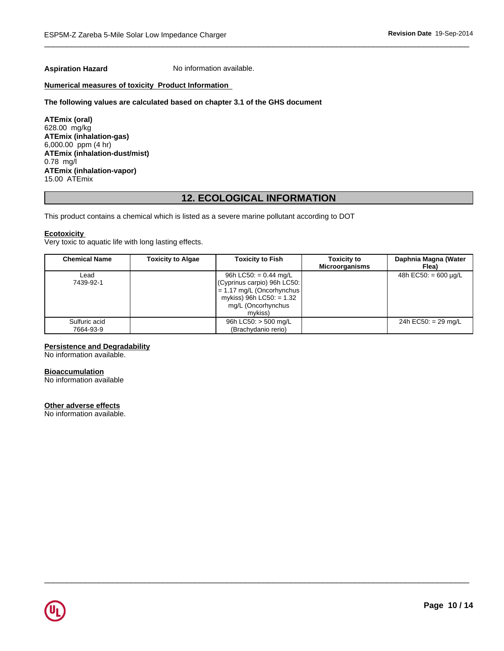**Aspiration Hazard** No information available.

# **Numerical measures of toxicity Product Information**

#### **The following values are calculated based on chapter 3.1 of the GHS document**

**ATEmix (oral)** 628.00 mg/kg **ATEmix (inhalation-gas)** 6,000.00 ppm (4 hr) **ATEmix (inhalation-dust/mist)** 0.78 mg/l **ATEmix (inhalation-vapor)** 15.00 ATEmix

# **12. ECOLOGICAL INFORMATION**

This product contains a chemical which is listed as a severe marine pollutant according to DOT

#### **Ecotoxicity**

Very toxic to aquatic life with long lasting effects.

| <b>Chemical Name</b>       | <b>Toxicity to Algae</b> | <b>Toxicity to Fish</b>                                                                                                                                      | <b>Toxicity to</b><br><b>Microorganisms</b> | Daphnia Magna (Water<br>Flea) |
|----------------------------|--------------------------|--------------------------------------------------------------------------------------------------------------------------------------------------------------|---------------------------------------------|-------------------------------|
| Lead<br>7439-92-1          |                          | 96h LC50: = $0.44 \text{ mg/L}$<br>(Cyprinus carpio) 96h LC50:<br>$= 1.17$ mg/L (Oncorhynchus<br>mykiss) 96h LC50: $= 1.32$<br>mg/L (Oncorhynchus<br>mvkiss) |                                             | 48h EC50: $= 600 \mu q/L$     |
| Sulfuric acid<br>7664-93-9 |                          | 96h LC50: $>$ 500 mg/L<br>(Brachydanio rerio)                                                                                                                |                                             | 24h EC50: $= 29$ mg/L         |

 $\overline{\phantom{a}}$  ,  $\overline{\phantom{a}}$  ,  $\overline{\phantom{a}}$  ,  $\overline{\phantom{a}}$  ,  $\overline{\phantom{a}}$  ,  $\overline{\phantom{a}}$  ,  $\overline{\phantom{a}}$  ,  $\overline{\phantom{a}}$  ,  $\overline{\phantom{a}}$  ,  $\overline{\phantom{a}}$  ,  $\overline{\phantom{a}}$  ,  $\overline{\phantom{a}}$  ,  $\overline{\phantom{a}}$  ,  $\overline{\phantom{a}}$  ,  $\overline{\phantom{a}}$  ,  $\overline{\phantom{a}}$ 

# **Persistence and Degradability**

No information available.

# **Bioaccumulation**

No information available

#### **Other adverse effects**

No information available.

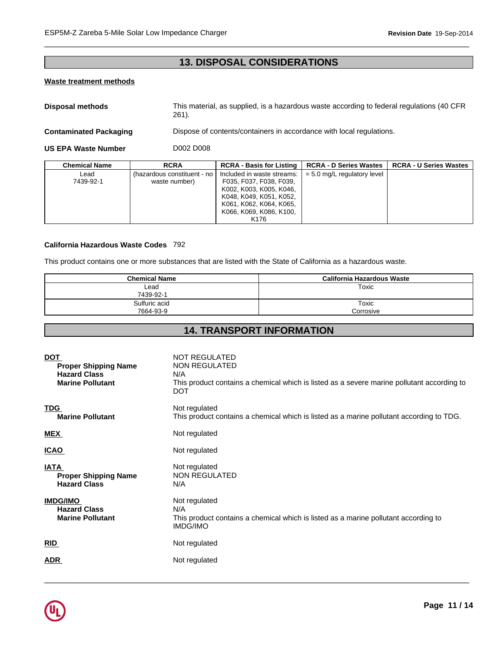# **13. DISPOSAL CONSIDERATIONS**

 $\overline{\phantom{a}}$  ,  $\overline{\phantom{a}}$  ,  $\overline{\phantom{a}}$  ,  $\overline{\phantom{a}}$  ,  $\overline{\phantom{a}}$  ,  $\overline{\phantom{a}}$  ,  $\overline{\phantom{a}}$  ,  $\overline{\phantom{a}}$  ,  $\overline{\phantom{a}}$  ,  $\overline{\phantom{a}}$  ,  $\overline{\phantom{a}}$  ,  $\overline{\phantom{a}}$  ,  $\overline{\phantom{a}}$  ,  $\overline{\phantom{a}}$  ,  $\overline{\phantom{a}}$  ,  $\overline{\phantom{a}}$ 

# **Waste treatment methods**

**Disposal methods** This material, as supplied, is a hazardous waste according to federal regulations (40 CFR 261).

**Contaminated Packaging <b>Dispose** of contents/containers in accordance with local regulations.

**US EPA Waste Number** D002 D008

| <b>Chemical Name</b> | <b>RCRA</b>                 | <b>RCRA - Basis for Listing  </b>                  | <b>RCRA - D Series Wastes</b> | <b>RCRA - U Series Wastes</b> |
|----------------------|-----------------------------|----------------------------------------------------|-------------------------------|-------------------------------|
| ∟ead                 | (hazardous constituent - no | Included in waste streams:                         | $= 5.0$ mg/L regulatory level |                               |
| 7439-92-1            | waste number)               | F035, F037, F038, F039,<br>K002, K003, K005, K046, |                               |                               |
|                      |                             | K048, K049, K051, K052,                            |                               |                               |
|                      |                             | K061, K062, K064, K065,<br>K066, K069, K086, K100, |                               |                               |
|                      |                             | K <sub>176</sub>                                   |                               |                               |

# **California Hazardous Waste Codes** 792

This product contains one or more substances that are listed with the State of California as a hazardous waste.

| <b>Chemical Name</b> | California Hazardous Waste |
|----------------------|----------------------------|
| Lead                 | Toxic                      |
| 7439-92-1            |                            |
| Sulfuric acid        | Toxic                      |
| 7664-93-9            | Corrosive                  |

# **14. TRANSPORT INFORMATION**

| <b>DOT</b><br><b>Proper Shipping Name</b><br><b>Hazard Class</b><br><b>Marine Pollutant</b> | <b>NOT REGULATED</b><br>NON REGULATED<br>N/A<br>This product contains a chemical which is listed as a severe marine pollutant according to<br>DOT |
|---------------------------------------------------------------------------------------------|---------------------------------------------------------------------------------------------------------------------------------------------------|
| <b>TDG</b><br><b>Marine Pollutant</b>                                                       | Not regulated<br>This product contains a chemical which is listed as a marine pollutant according to TDG.                                         |
| <b>MEX</b>                                                                                  | Not regulated                                                                                                                                     |
| <b>ICAO</b>                                                                                 | Not regulated                                                                                                                                     |
| <b>IATA</b><br><b>Proper Shipping Name</b><br><b>Hazard Class</b>                           | Not regulated<br><b>NON REGULATED</b><br>N/A                                                                                                      |
| <b>IMDG/IMO</b><br><b>Hazard Class</b><br><b>Marine Pollutant</b>                           | Not regulated<br>N/A<br>This product contains a chemical which is listed as a marine pollutant according to<br>IMDG/IMO                           |
| <b>RID</b>                                                                                  | Not regulated                                                                                                                                     |
| <b>ADR</b>                                                                                  | Not regulated                                                                                                                                     |
|                                                                                             |                                                                                                                                                   |

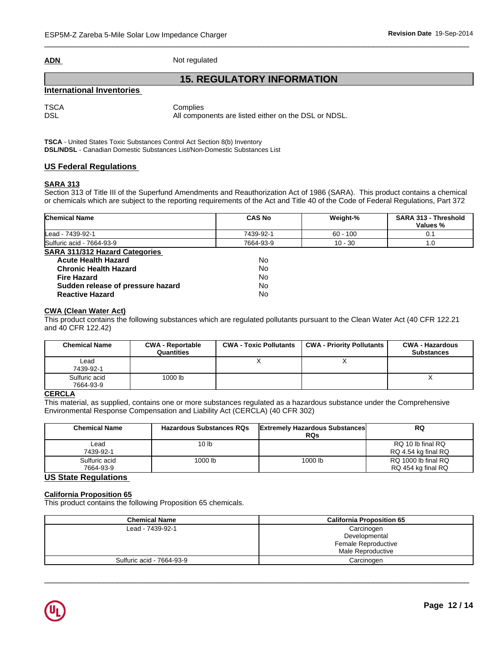|--|

**Not regulated** 

# **15. REGULATORY INFORMATION**

# **International Inventories**

TSCA Complies

DSL DSL All components are listed either on the DSL or NDSL.

**TSCA** - United States Toxic Substances Control Act Section 8(b) Inventory **DSL/NDSL** - Canadian Domestic Substances List/Non-Domestic Substances List

# **US Federal Regulations**

# **SARA 313**

Section 313 of Title III of the Superfund Amendments and Reauthorization Act of 1986 (SARA). This product contains a chemical or chemicals which are subject to the reporting requirements of the Act and Title 40 of the Code of Federal Regulations, Part 372

| <b>Chemical Name</b>              | <b>CAS No</b> | Weight-%   | SARA 313 - Threshold<br>Values % |
|-----------------------------------|---------------|------------|----------------------------------|
| Lead - 7439-92-1                  | 7439-92-1     | $60 - 100$ | 0.1                              |
| Sulfuric acid - 7664-93-9         | 7664-93-9     | $10 - 30$  | 1.0                              |
| SARA 311/312 Hazard Categories    |               |            |                                  |
| <b>Acute Health Hazard</b>        | No            |            |                                  |
| <b>Chronic Health Hazard</b>      | No            |            |                                  |
| <b>Fire Hazard</b>                | No            |            |                                  |
| Sudden release of pressure hazard | No            |            |                                  |
| <b>Reactive Hazard</b>            | No            |            |                                  |

# **CWA (Clean Water Act)**

This product contains the following substances which are regulated pollutants pursuant to the Clean Water Act (40 CFR 122.21 and 40 CFR 122.42)

| <b>Chemical Name</b>       | <b>CWA - Reportable</b><br>Quantities | <b>CWA - Toxic Pollutants</b> | <b>CWA - Priority Pollutants</b> | <b>CWA - Hazardous</b><br><b>Substances</b> |
|----------------------------|---------------------------------------|-------------------------------|----------------------------------|---------------------------------------------|
| Lead<br>7439-92-1          |                                       |                               |                                  |                                             |
| Sulfuric acid<br>7664-93-9 | 1000 lb                               |                               |                                  | $\lambda$                                   |

# **CERCLA**

This material, as supplied, contains one or more substances regulated as a hazardous substance under the Comprehensive Environmental Response Compensation and Liability Act (CERCLA) (40 CFR 302)

| <b>Chemical Name</b>       | <b>Hazardous Substances RQs</b> | <b>Extremely Hazardous Substances</b><br><b>RQs</b> | <b>RQ</b>                                 |
|----------------------------|---------------------------------|-----------------------------------------------------|-------------------------------------------|
| ∟ead<br>7439-92-1          | 10 <sub>lb</sub>                |                                                     | RQ 10 lb final RQ<br>RQ 4.54 kg final RQ  |
| Sulfuric acid<br>7664-93-9 | 1000 lb                         | 1000 lb                                             | RQ 1000 lb final RQ<br>RQ 454 kg final RQ |

# **US State Regulations**

# **California Proposition 65**

This product contains the following Proposition 65 chemicals.

| <b>Chemical Name</b>      | <b>California Proposition 65</b> |  |  |
|---------------------------|----------------------------------|--|--|
| Lead - 7439-92-1          | Carcinogen                       |  |  |
|                           | Developmental                    |  |  |
|                           | Female Reproductive              |  |  |
|                           | Male Reproductive                |  |  |
| Sulfuric acid - 7664-93-9 | Carcinogen                       |  |  |

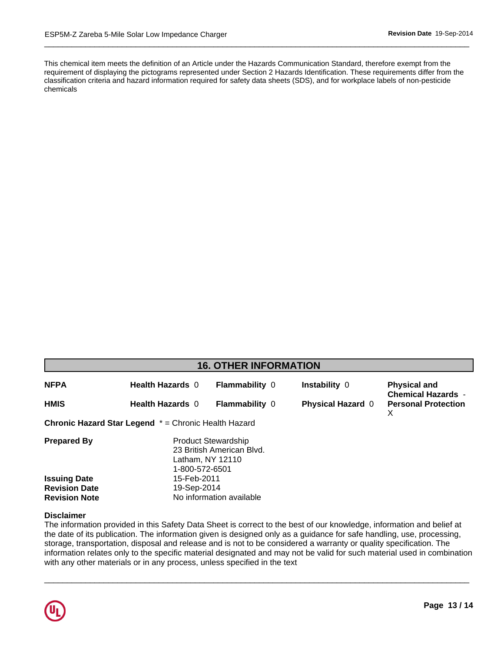This chemical item meets the definition of an Article under the Hazards Communication Standard, therefore exempt from the . classification criteria and hazard information required for safety data sheets (SDS), and for workplace labels of non-pesticide requirement of displaying the pictograms represented under Section 2 Hazards Identification. These requirements differ from the chemicals

 $\overline{\phantom{a}}$  ,  $\overline{\phantom{a}}$  ,  $\overline{\phantom{a}}$  ,  $\overline{\phantom{a}}$  ,  $\overline{\phantom{a}}$  ,  $\overline{\phantom{a}}$  ,  $\overline{\phantom{a}}$  ,  $\overline{\phantom{a}}$  ,  $\overline{\phantom{a}}$  ,  $\overline{\phantom{a}}$  ,  $\overline{\phantom{a}}$  ,  $\overline{\phantom{a}}$  ,  $\overline{\phantom{a}}$  ,  $\overline{\phantom{a}}$  ,  $\overline{\phantom{a}}$  ,  $\overline{\phantom{a}}$ 

| <b>16. OTHER INFORMATION</b>                |                                                             |                                                                             |                          |                                                  |  |  |  |  |
|---------------------------------------------|-------------------------------------------------------------|-----------------------------------------------------------------------------|--------------------------|--------------------------------------------------|--|--|--|--|
| <b>NFPA</b>                                 | <b>Health Hazards 0</b>                                     | <b>Flammability 0</b>                                                       | Instability 0            | <b>Physical and</b><br><b>Chemical Hazards -</b> |  |  |  |  |
| <b>HMIS</b>                                 | <b>Health Hazards 0</b>                                     | <b>Flammability 0</b>                                                       | <b>Physical Hazard 0</b> | <b>Personal Protection</b><br>X                  |  |  |  |  |
|                                             | <b>Chronic Hazard Star Legend</b> * = Chronic Health Hazard |                                                                             |                          |                                                  |  |  |  |  |
| <b>Prepared By</b>                          | 1-800-572-6501                                              | <b>Product Stewardship</b><br>23 British American Blvd.<br>Latham, NY 12110 |                          |                                                  |  |  |  |  |
| <b>Issuing Date</b><br><b>Revision Date</b> | 15-Feb-2011<br>19-Sep-2014                                  |                                                                             |                          |                                                  |  |  |  |  |
| <b>Revision Note</b>                        | No information available                                    |                                                                             |                          |                                                  |  |  |  |  |

# **Disclaimer**

The information provided in this Safety Data Sheet is correct to the best of our knowledge, information and belief at the date of its publication. The information given is designed only as a guidance for safe handling, use, processing, storage, transportation, disposal and release and is not to be considered a warranty or quality specification. The information relates only to the specific material designated and may not be valid for such material used in combination with any other materials or in any process, unless specified in the text